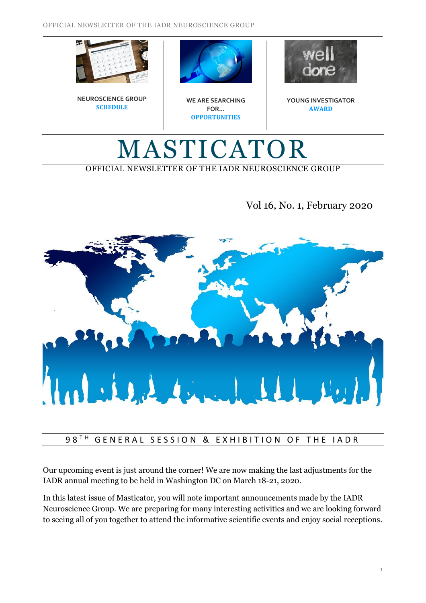





**WE ARE SEARCHING FOR… OPPORTUNITIES**



**YOUNG INVESTIGATOR AWARD**

## MASTICATOR OFFICIAL NEWSLETTER OF THE IADR NEUROSCIENCE GROUP

## Vol 16, No. 1, February 2020



#### 98<sup>TH</sup> GENERAL SESSION & EXHIBITION OF THE IADR

Our upcoming event is just around the corner! We are now making the last adjustments for the IADR annual meeting to be held in Washington DC on March 18-21, 2020.

In this latest issue of Masticator, you will note important announcements made by the IADR Neuroscience Group. We are preparing for many interesting activities and we are looking forward to seeing all of you together to attend the informative scientific events and enjoy social receptions.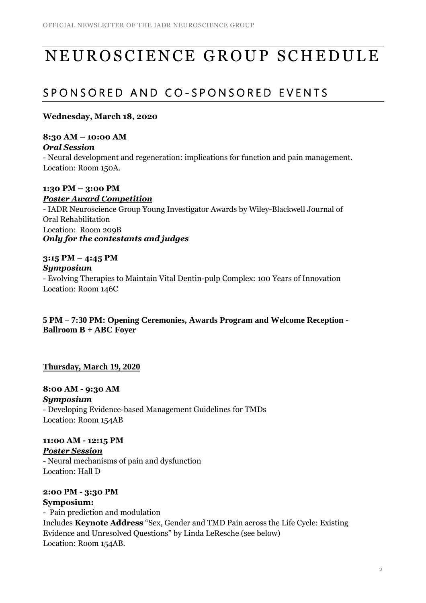# NEUROSCIENCE GROUP SCHEDULE

## SPONSORED AND CO-SPONSORED EVENTS

#### **Wednesday, March 18, 2020**

**8:30 AM – 10:00 AM** *Oral Session*

- Neural development and regeneration: implications for function and pain management. Location: Room 150A.

**1:30 PM – 3:00 PM** *Poster Award Competition* - IADR Neuroscience Group Young Investigator Awards by Wiley-Blackwell Journal of Oral Rehabilitation Location: Room 209B *Only for the contestants and judges*

#### **3:15 PM – 4:45 PM**

#### *Symposium*

- Evolving Therapies to Maintain Vital Dentin-pulp Complex: 100 Years of Innovation Location: Room 146C

**5 PM – 7:30 PM: Opening Ceremonies, Awards Program and Welcome Reception - Ballroom B + ABC Foyer**

#### **Thursday, March 19, 2020**

**2:00 PM - 3:30 PM**

**8:00 AM - 9:30 AM** *Symposium* - Developing Evidence-based Management Guidelines for TMDs Location: Room 154AB

**11:00 AM - 12:15 PM** *Poster Session* - Neural mechanisms of pain and dysfunction Location: Hall D

**Symposium:** - Pain prediction and modulation Includes **Keynote Address** "Sex, Gender and TMD Pain across the Life Cycle: Existing Evidence and Unresolved Questions" by Linda LeResche (see below) Location: Room 154AB.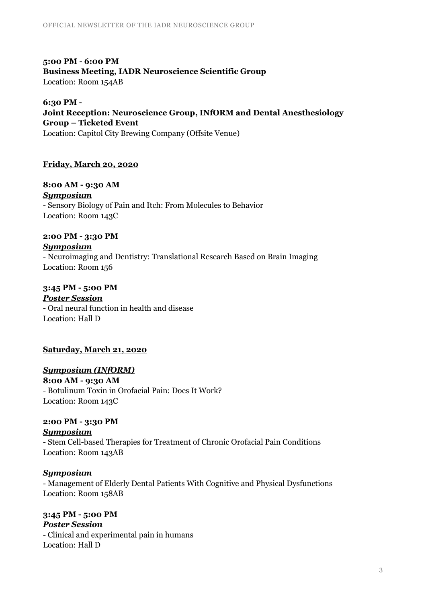**5:00 PM - 6:00 PM Business Meeting, IADR Neuroscience Scientific Group** Location: Room 154AB

**6:30 PM - Joint Reception: Neuroscience Group, INfORM and Dental Anesthesiology Group – Ticketed Event** Location: Capitol City Brewing Company (Offsite Venue)

#### **Friday, March 20, 2020**

**8:00 AM - 9:30 AM** *Symposium* - Sensory Biology of Pain and Itch: From Molecules to Behavior Location: Room 143C

**2:00 PM - 3:30 PM** *Symposium* - Neuroimaging and Dentistry: Translational Research Based on Brain Imaging Location: Room 156

**3:45 PM - 5:00 PM** *Poster Session* - Oral neural function in health and disease Location: Hall D

**Saturday, March 21, 2020** 

*Symposium (INfORM)* **8:00 AM - 9:30 AM** - Botulinum Toxin in Orofacial Pain: Does It Work? Location: Room 143C

**2:00 PM - 3:30 PM** *Symposium* - Stem Cell-based Therapies for Treatment of Chronic Orofacial Pain Conditions Location: Room 143AB

*Symposium*

- Management of Elderly Dental Patients With Cognitive and Physical Dysfunctions Location: Room 158AB

**3:45 PM - 5:00 PM** *Poster Session* - Clinical and experimental pain in humans Location: Hall D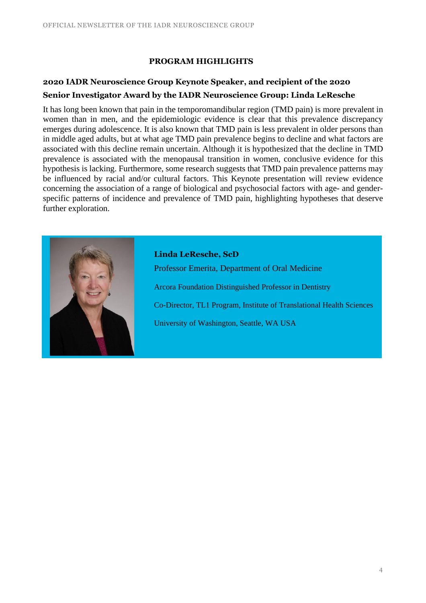#### **PROGRAM HIGHLIGHTS**

### **2020 IADR Neuroscience Group Keynote Speaker, and recipient of the 2020 Senior Investigator Award by the IADR Neuroscience Group: Linda LeResche**

It has long been known that pain in the temporomandibular region (TMD pain) is more prevalent in women than in men, and the epidemiologic evidence is clear that this prevalence discrepancy emerges during adolescence. It is also known that TMD pain is less prevalent in older persons than in middle aged adults, but at what age TMD pain prevalence begins to decline and what factors are associated with this decline remain uncertain. Although it is hypothesized that the decline in TMD prevalence is associated with the menopausal transition in women, conclusive evidence for this hypothesis is lacking. Furthermore, some research suggests that TMD pain prevalence patterns may be influenced by racial and/or cultural factors. This Keynote presentation will review evidence concerning the association of a range of biological and psychosocial factors with age- and genderspecific patterns of incidence and prevalence of TMD pain, highlighting hypotheses that deserve further exploration.



**Linda LeResche, ScD** Professor Emerita, Department of Oral Medicine Arcora Foundation Distinguished Professor in Dentistry Co-Director, TL1 Program, Institute of Translational Health Sciences University of Washington, Seattle, WA USA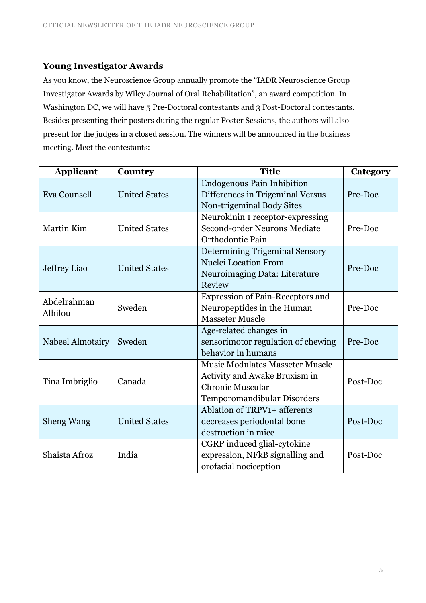#### **Young Investigator Awards**

As you know, the Neuroscience Group annually promote the "IADR Neuroscience Group Investigator Awards by Wiley Journal of Oral Rehabilitation", an award competition. In Washington DC, we will have 5 Pre-Doctoral contestants and 3 Post-Doctoral contestants. Besides presenting their posters during the regular Poster Sessions, the authors will also present for the judges in a closed session. The winners will be announced in the business meeting. Meet the contestants:

| <b>Applicant</b>       | Country              | <b>Title</b>                                                          | Category |
|------------------------|----------------------|-----------------------------------------------------------------------|----------|
| Eva Counsell           | <b>United States</b> | <b>Endogenous Pain Inhibition</b><br>Differences in Trigeminal Versus | Pre-Doc  |
|                        |                      | Non-trigeminal Body Sites                                             |          |
| Martin Kim             | <b>United States</b> | Neurokinin 1 receptor-expressing                                      |          |
|                        |                      | Second-order Neurons Mediate                                          | Pre-Doc  |
|                        |                      | Orthodontic Pain                                                      |          |
| Jeffrey Liao           | <b>United States</b> | <b>Determining Trigeminal Sensory</b>                                 |          |
|                        |                      | <b>Nuclei Location From</b>                                           | Pre-Doc  |
|                        |                      | Neuroimaging Data: Literature                                         |          |
|                        |                      | Review                                                                |          |
| Abdelrahman<br>Alhilou | Sweden               | <b>Expression of Pain-Receptors and</b>                               |          |
|                        |                      | Neuropeptides in the Human                                            | Pre-Doc  |
|                        |                      | <b>Masseter Muscle</b>                                                |          |
| Nabeel Almotairy       | Sweden               | Age-related changes in                                                |          |
|                        |                      | sensorimotor regulation of chewing                                    | Pre-Doc  |
|                        |                      | behavior in humans                                                    |          |
| Tina Imbriglio         | Canada               | <b>Music Modulates Masseter Muscle</b>                                |          |
|                        |                      | Activity and Awake Bruxism in                                         | Post-Doc |
|                        |                      | <b>Chronic Muscular</b>                                               |          |
|                        |                      | Temporomandibular Disorders                                           |          |
| <b>Sheng Wang</b>      | <b>United States</b> | Ablation of TRPV1+ afferents                                          |          |
|                        |                      | decreases periodontal bone                                            | Post-Doc |
|                        |                      | destruction in mice                                                   |          |
| Shaista Afroz          | India                | CGRP induced glial-cytokine                                           |          |
|                        |                      | expression, NFkB signalling and                                       | Post-Doc |
|                        |                      | orofacial nociception                                                 |          |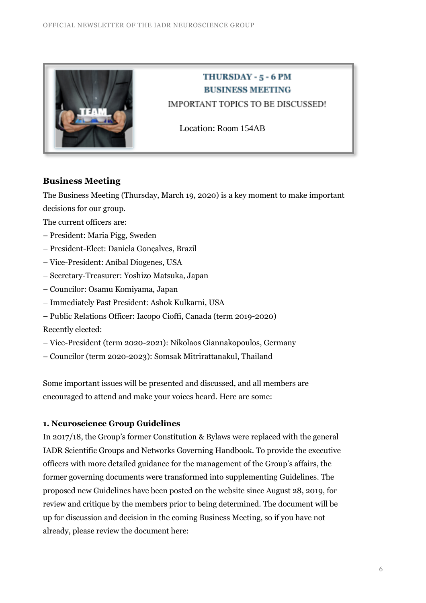

## THURSDAY - 5 - 6 PM **BUSINESS MEETING**

IMPORTANT TOPICS TO BE DISCUSSED!

Location: Room 154AB

#### **Business Meeting**

The Business Meeting (Thursday, March 19, 2020) is a key moment to make important decisions for our group.

The current officers are:

- President: Maria Pigg, Sweden
- President-Elect: Daniela Gonçalves, Brazil
- Vice-President: Aníbal Diogenes, USA
- Secretary-Treasurer: Yoshizo Matsuka, Japan
- Councilor: Osamu Komiyama, Japan
- Immediately Past President: Ashok Kulkarni, USA
- Public Relations Officer: Iacopo Cioffi, Canada (term 2019-2020)

Recently elected:

- Vice-President (term 2020-2021): Nikolaos Giannakopoulos, Germany
- Councilor (term 2020-2023): Somsak Mitrirattanakul, Thailand

Some important issues will be presented and discussed, and all members are encouraged to attend and make your voices heard. Here are some:

#### **1. Neuroscience Group Guidelines**

In 2017/18, the Group's former Constitution & Bylaws were replaced with the general IADR Scientific Groups and Networks Governing Handbook. To provide the executive officers with more detailed guidance for the management of the Group's affairs, the former governing documents were transformed into supplementing Guidelines. The proposed new Guidelines have been posted on the website since August 28, 2019, for review and critique by the members prior to being determined. The document will be up for discussion and decision in the coming Business Meeting, so if you have not already, please review the document here: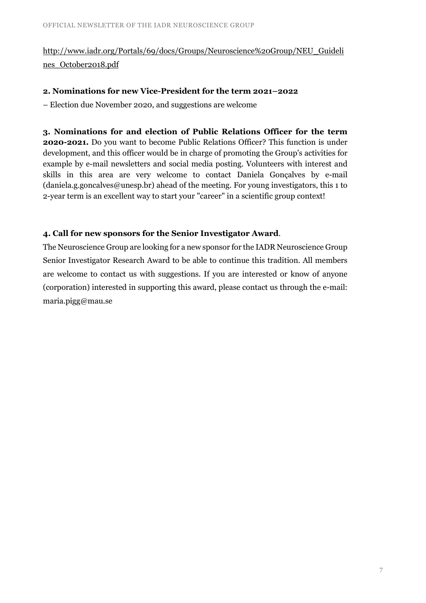### [http://www.iadr.org/Portals/69/docs/Groups/Neuroscience%20Group/NEU\\_Guideli](http://www.iadr.org/Portals/69/docs/Groups/Neuroscience%20Group/NEU_Guidelines_October2018.pdf) [nes\\_October2018.pdf](http://www.iadr.org/Portals/69/docs/Groups/Neuroscience%20Group/NEU_Guidelines_October2018.pdf)

#### **2. Nominations for new Vice-President for the term 2021–2022**

– Election due November 2020, and suggestions are welcome

**3. Nominations for and election of Public Relations Officer for the term 2020-2021.** Do you want to become Public Relations Officer? This function is under development, and this officer would be in charge of promoting the Group's activities for example by e-mail newsletters and social media posting. Volunteers with interest and skills in this area are very welcome to contact Daniela Gonçalves by e-mail  $(daniela.g. goncalves@unesp.br)$  ahead of the meeting. For young investigators, this 1 to 2-year term is an excellent way to start your "career" in a scientific group context!

#### **4. Call for new sponsors for the Senior Investigator Award**.

The Neuroscience Group are looking for a new sponsor for the IADR Neuroscience Group Senior Investigator Research Award to be able to continue this tradition. All members are welcome to contact us with suggestions. If you are interested or know of anyone (corporation) interested in supporting this award, please contact us through the e-mail: [maria.pigg@mau.se](mailto:maria.pigg@mau.se)